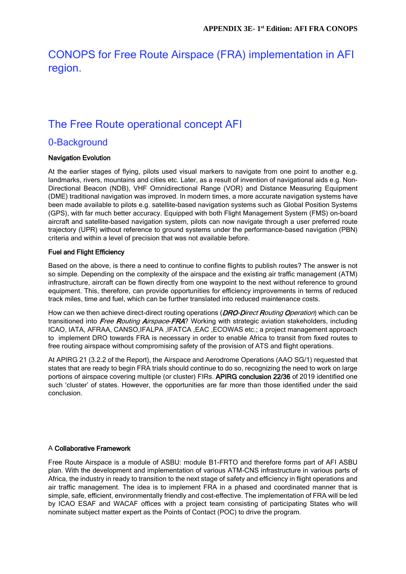# CONOPS for Free Route Airspace (FRA) implementation in AFI region.

# The Free Route operational concept AFI

### 0-Background

### Navigation Evolution

At the earlier stages of flying, pilots used visual markers to navigate from one point to another e.g. landmarks, rivers, mountains and cities etc. Later, as a result of invention of navigational aids e.g. Non-Directional Beacon (NDB), VHF Omnidirectional Range (VOR) and Distance Measuring Equipment (DME) traditional navigation was improved. In modern times, a more accurate navigation systems have been made available to pilots e.g. satellite-based navigation systems such as Global Position Systems (GPS), with far much better accuracy. Equipped with both Flight Management System (FMS) on-board aircraft and satellite-based navigation system, pilots can now navigate through a user preferred route trajectory (UPR) without reference to ground systems under the performance-based navigation (PBN) criteria and within a level of precision that was not available before.

### Fuel and Flight Efficiency

Based on the above, is there a need to continue to confine flights to publish routes? The answer is not so simple. Depending on the complexity of the airspace and the existing air traffic management (ATM) infrastructure, aircraft can be flown directly from one waypoint to the next without reference to ground equipment. This, therefore, can provide opportunities for efficiency improvements in terms of reduced track miles, time and fuel, which can be further translated into reduced maintenance costs.

How can we then achieve direct-direct routing operations (*DRO-Direct Routing Operation*) which can be transitioned into *Free Routing Airspace-FRA*? Working with strategic aviation stakeholders, including ICAO, IATA, AFRAA, CANSO,IFALPA ,IFATCA ,EAC ,ECOWAS etc.; a project management approach to implement DRO towards FRA is necessary in order to enable Africa to transit from fixed routes to free routing airspace without compromising safety of the provision of ATS and flight operations.

At APIRG 21 (3.2.2 of the Report), the Airspace and Aerodrome Operations (AAO SG/1) requested that states that are ready to begin FRA trials should continue to do so, recognizing the need to work on large portions of airspace covering multiple (or cluster) FIRs. APIRG conclusion 22/36 of 2019 identified one such 'cluster' of states. However, the opportunities are far more than those identified under the said conclusion.

#### A Collaborative Framework

Free Route Airspace is a module of ASBU: module B1-FRTO and therefore forms part of AFI ASBU plan. With the development and implementation of various ATM-CNS infrastructure in various parts of Africa, the industry in ready to transition to the next stage of safety and efficiency in flight operations and air traffic management. The idea is to implement FRA in a phased and coordinated manner that is simple, safe, efficient, environmentally friendly and cost-effective. The implementation of FRA will be led by ICAO ESAF and WACAF offices with a project team consisting of participating States who will nominate subject matter expert as the Points of Contact (POC) to drive the program.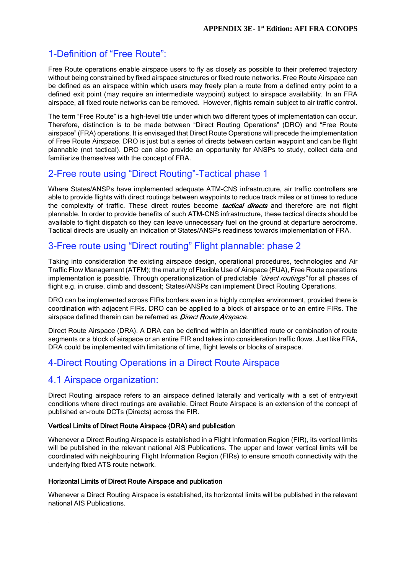## 1-Definition of "Free Route":

Free Route operations enable airspace users to fly as closely as possible to their preferred trajectory without being constrained by fixed airspace structures or fixed route networks. Free Route Airspace can be defined as an airspace within which users may freely plan a route from a defined entry point to a defined exit point (may require an intermediate waypoint) subject to airspace availability. In an FRA airspace, all fixed route networks can be removed. However, flights remain subject to air traffic control.

The term "Free Route" is a high-level title under which two different types of implementation can occur. Therefore, distinction is to be made between "Direct Routing Operations" (DRO) and "Free Route airspace" (FRA) operations. It is envisaged that Direct Route Operations will precede the implementation of Free Route Airspace. DRO is just but a series of directs between certain waypoint and can be flight plannable (not tactical). DRO can also provide an opportunity for ANSPs to study, collect data and familiarize themselves with the concept of FRA.

### 2-Free route using "Direct Routing"-Tactical phase 1

Where States/ANSPs have implemented adequate ATM-CNS infrastructure, air traffic controllers are able to provide flights with direct routings between waypoints to reduce track miles or at times to reduce the complexity of traffic. These direct routes become **tactical directs** and therefore are not flight plannable. In order to provide benefits of such ATM-CNS infrastructure, these tactical directs should be available to flight dispatch so they can leave unnecessary fuel on the ground at departure aerodrome. Tactical directs are usually an indication of States/ANSPs readiness towards implementation of FRA.

### 3-Free route using "Direct routing" Flight plannable: phase 2

Taking into consideration the existing airspace design, operational procedures, technologies and Air Traffic Flow Management (ATFM); the maturity of Flexible Use of Airspace (FUA), Free Route operations implementation is possible. Through operationalization of predictable "direct routings" for all phases of flight e.g. in cruise, climb and descent; States/ANSPs can implement Direct Routing Operations.

DRO can be implemented across FIRs borders even in a highly complex environment, provided there is coordination with adjacent FIRs. DRO can be applied to a block of airspace or to an entire FIRs. The airspace defined therein can be referred as *Direct Route Airspace*.

Direct Route Airspace (DRA). A DRA can be defined within an identified route or combination of route segments or a block of airspace or an entire FIR and takes into consideration traffic flows. Just like FRA, DRA could be implemented with limitations of time, flight levels or blocks of airspace.

## 4-Direct Routing Operations in a Direct Route Airspace

### 4.1 Airspace organization:

Direct Routing airspace refers to an airspace defined laterally and vertically with a set of entry/exit conditions where direct routings are available. Direct Route Airspace is an extension of the concept of published en-route DCTs (Directs) across the FIR.

#### Vertical Limits of Direct Route Airspace (DRA) and publication

Whenever a Direct Routing Airspace is established in a Flight Information Region (FIR), its vertical limits will be published in the relevant national AIS Publications. The upper and lower vertical limits will be coordinated with neighbouring Flight Information Region (FIRs) to ensure smooth connectivity with the underlying fixed ATS route network.

#### Horizontal Limits of Direct Route Airspace and publication

Whenever a Direct Routing Airspace is established, its horizontal limits will be published in the relevant national AIS Publications.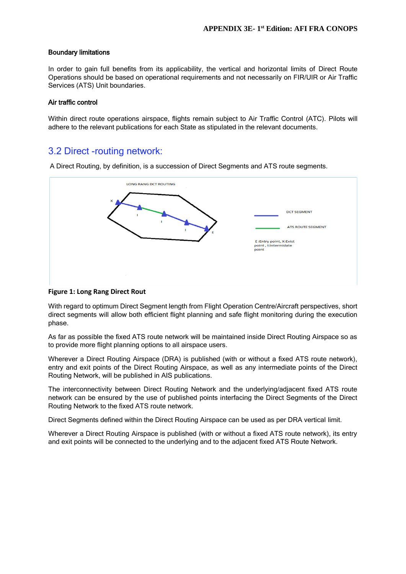#### Boundary limitations

In order to gain full benefits from its applicability, the vertical and horizontal limits of Direct Route Operations should be based on operational requirements and not necessarily on FIR/UIR or Air Traffic Services (ATS) Unit boundaries.

#### Air traffic control

Within direct route operations airspace, flights remain subject to Air Traffic Control (ATC). Pilots will adhere to the relevant publications for each State as stipulated in the relevant documents.

### 3.2 Direct -routing network:

A Direct Routing, by definition, is a succession of Direct Segments and ATS route segments.



#### **Figure 1: Long Rang Direct Rout**

With regard to optimum Direct Segment length from Flight Operation Centre/Aircraft perspectives, short direct segments will allow both efficient flight planning and safe flight monitoring during the execution phase.

As far as possible the fixed ATS route network will be maintained inside Direct Routing Airspace so as to provide more flight planning options to all airspace users.

Wherever a Direct Routing Airspace (DRA) is published (with or without a fixed ATS route network), entry and exit points of the Direct Routing Airspace, as well as any intermediate points of the Direct Routing Network, will be published in AIS publications.

The interconnectivity between Direct Routing Network and the underlying/adjacent fixed ATS route network can be ensured by the use of published points interfacing the Direct Segments of the Direct Routing Network to the fixed ATS route network.

Direct Segments defined within the Direct Routing Airspace can be used as per DRA vertical limit.

Wherever a Direct Routing Airspace is published (with or without a fixed ATS route network), its entry and exit points will be connected to the underlying and to the adjacent fixed ATS Route Network.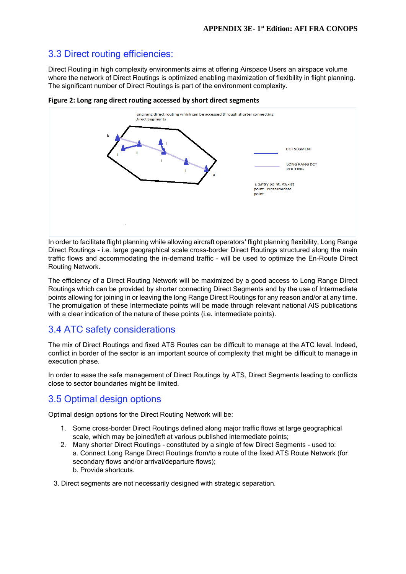## 3.3 Direct routing efficiencies:

Direct Routing in high complexity environments aims at offering Airspace Users an airspace volume where the network of Direct Routings is optimized enabling maximization of flexibility in flight planning. The significant number of Direct Routings is part of the environment complexity.



**Figure 2: Long rang direct routing accessed by short direct segments**

In order to facilitate flight planning while allowing aircraft operators' flight planning flexibility, Long Range Direct Routings - i.e. large geographical scale cross-border Direct Routings structured along the main traffic flows and accommodating the in-demand traffic - will be used to optimize the En-Route Direct Routing Network.

The efficiency of a Direct Routing Network will be maximized by a good access to Long Range Direct Routings which can be provided by shorter connecting Direct Segments and by the use of Intermediate points allowing for joining in or leaving the long Range Direct Routings for any reason and/or at any time. The promulgation of these Intermediate points will be made through relevant national AIS publications with a clear indication of the nature of these points (i.e. intermediate points).

## 3.4 ATC safety considerations

The mix of Direct Routings and fixed ATS Routes can be difficult to manage at the ATC level. Indeed, conflict in border of the sector is an important source of complexity that might be difficult to manage in execution phase.

In order to ease the safe management of Direct Routings by ATS, Direct Segments leading to conflicts close to sector boundaries might be limited.

## 3.5 Optimal design options

Optimal design options for the Direct Routing Network will be:

- 1. Some cross-border Direct Routings defined along major traffic flows at large geographical scale, which may be joined/left at various published intermediate points;
- 2. Many shorter Direct Routings constituted by a single of few Direct Segments used to: a. Connect Long Range Direct Routings from/to a route of the fixed ATS Route Network (for secondary flows and/or arrival/departure flows); b. Provide shortcuts.
- 3. Direct segments are not necessarily designed with strategic separation.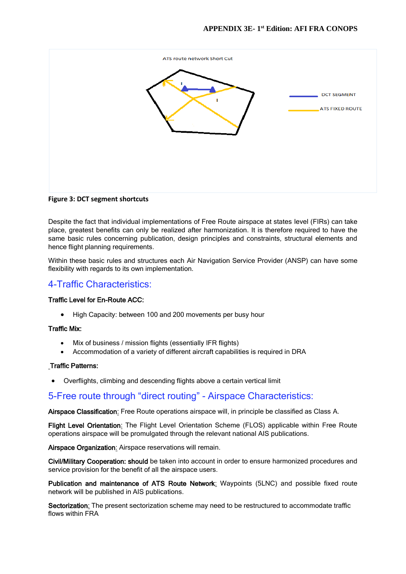

**Figure 3: DCT segment shortcuts** 

Despite the fact that individual implementations of Free Route airspace at states level (FIRs) can take place, greatest benefits can only be realized after harmonization. It is therefore required to have the same basic rules concerning publication, design principles and constraints, structural elements and hence flight planning requirements.

Within these basic rules and structures each Air Navigation Service Provider (ANSP) can have some flexibility with regards to its own implementation.

### 4-Traffic Characteristics:

#### Traffic Level for En-Route ACC:

• High Capacity: between 100 and 200 movements per busy hour

#### Traffic Mix:

- Mix of business / mission flights (essentially IFR flights)
- Accommodation of a variety of different aircraft capabilities is required in DRA

#### Traffic Patterns:

Overflights, climbing and descending flights above a certain vertical limit

### 5-Free route through "direct routing" - Airspace Characteristics:

Airspace Classification: Free Route operations airspace will, in principle be classified as Class A.

Flight Level Orientation: The Flight Level Orientation Scheme (FLOS) applicable within Free Route operations airspace will be promulgated through the relevant national AIS publications.

Airspace Organization: Airspace reservations will remain.

Civil/Military Cooperation: should be taken into account in order to ensure harmonized procedures and service provision for the benefit of all the airspace users.

Publication and maintenance of ATS Route Network: Waypoints (5LNC) and possible fixed route network will be published in AIS publications.

Sectorization: The present sectorization scheme may need to be restructured to accommodate traffic flows within FRA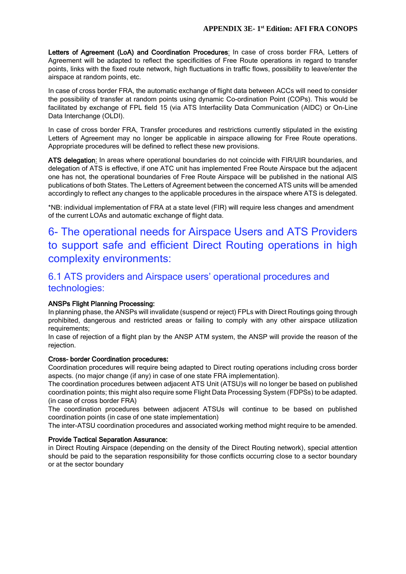Letters of Agreement (LoA) and Coordination Procedures: In case of cross border FRA, Letters of Agreement will be adapted to reflect the specificities of Free Route operations in regard to transfer points, links with the fixed route network, high fluctuations in traffic flows, possibility to leave/enter the airspace at random points, etc.

In case of cross border FRA, the automatic exchange of flight data between ACCs will need to consider the possibility of transfer at random points using dynamic Co-ordination Point (COPs). This would be facilitated by exchange of FPL field 15 (via ATS Interfacility Data Communication (AIDC) or On-Line Data Interchange (OLDI).

In case of cross border FRA, Transfer procedures and restrictions currently stipulated in the existing Letters of Agreement may no longer be applicable in airspace allowing for Free Route operations. Appropriate procedures will be defined to reflect these new provisions.

ATS delegation: In areas where operational boundaries do not coincide with FIR/UIR boundaries, and delegation of ATS is effective, if one ATC unit has implemented Free Route Airspace but the adjacent one has not, the operational boundaries of Free Route Airspace will be published in the national AIS publications of both States. The Letters of Agreement between the concerned ATS units will be amended accordingly to reflect any changes to the applicable procedures in the airspace where ATS is delegated.

\*NB: individual implementation of FRA at a state level (FIR) will require less changes and amendment of the current LOAs and automatic exchange of flight data.

# 6- The operational needs for Airspace Users and ATS Providers to support safe and efficient Direct Routing operations in high complexity environments:

## 6.1 ATS providers and Airspace users' operational procedures and technologies:

#### ANSPs Flight Planning Processing:

In planning phase, the ANSPs will invalidate (suspend or reject) FPLs with Direct Routings going through prohibited, dangerous and restricted areas or failing to comply with any other airspace utilization requirements;

In case of rejection of a flight plan by the ANSP ATM system, the ANSP will provide the reason of the rejection.

#### Cross- border Coordination procedures:

Coordination procedures will require being adapted to Direct routing operations including cross border aspects. (no major change (if any) in case of one state FRA implementation).

The coordination procedures between adjacent ATS Unit (ATSU)s will no longer be based on published coordination points; this might also require some Flight Data Processing System (FDPSs) to be adapted. (in case of cross border FRA)

The coordination procedures between adjacent ATSUs will continue to be based on published coordination points (in case of one state implementation)

The inter-ATSU coordination procedures and associated working method might require to be amended.

#### Provide Tactical Separation Assurance:

in Direct Routing Airspace (depending on the density of the Direct Routing network), special attention should be paid to the separation responsibility for those conflicts occurring close to a sector boundary or at the sector boundary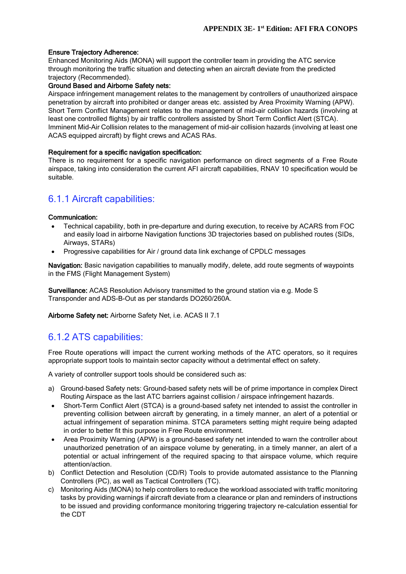#### Ensure Trajectory Adherence:

Enhanced Monitoring Aids (MONA) will support the controller team in providing the ATC service through monitoring the traffic situation and detecting when an aircraft deviate from the predicted trajectory (Recommended).

### Ground Based and Airborne Safety nets:

Airspace infringement management relates to the management by controllers of unauthorized airspace penetration by aircraft into prohibited or danger areas etc. assisted by Area Proximity Warning (APW). Short Term Conflict Management relates to the management of mid-air collision hazards (involving at least one controlled flights) by air traffic controllers assisted by Short Term Conflict Alert (STCA). Imminent Mid-Air Collision relates to the management of mid-air collision hazards (involving at least one ACAS equipped aircraft) by flight crews and ACAS RAs.

#### Requirement for a specific navigation specification:

There is no requirement for a specific navigation performance on direct segments of a Free Route airspace, taking into consideration the current AFI aircraft capabilities, RNAV 10 specification would be suitable.

### 6.1.1 Aircraft capabilities:

#### Communication:

- Technical capability, both in pre-departure and during execution, to receive by ACARS from FOC and easily load in airborne Navigation functions 3D trajectories based on published routes (SIDs, Airways, STARs)
- Progressive capabilities for Air / ground data link exchange of CPDLC messages

Navigation: Basic navigation capabilities to manually modify, delete, add route segments of waypoints in the FMS (Flight Management System)

Surveillance: ACAS Resolution Advisory transmitted to the ground station via e.g. Mode S Transponder and ADS-B-Out as per standards DO260/260A.

Airborne Safety net: Airborne Safety Net, i.e. ACAS II 7.1

### 6.1.2 ATS capabilities:

Free Route operations will impact the current working methods of the ATC operators, so it requires appropriate support tools to maintain sector capacity without a detrimental effect on safety.

A variety of controller support tools should be considered such as:

- a) Ground-based Safety nets: Ground-based safety nets will be of prime importance in complex Direct Routing Airspace as the last ATC barriers against collision / airspace infringement hazards.
- Short-Term Conflict Alert (STCA) is a ground-based safety net intended to assist the controller in preventing collision between aircraft by generating, in a timely manner, an alert of a potential or actual infringement of separation minima. STCA parameters setting might require being adapted in order to better fit this purpose in Free Route environment.
- Area Proximity Warning (APW) is a ground-based safety net intended to warn the controller about unauthorized penetration of an airspace volume by generating, in a timely manner, an alert of a potential or actual infringement of the required spacing to that airspace volume, which require attention/action.
- b) Conflict Detection and Resolution (CD/R) Tools to provide automated assistance to the Planning Controllers (PC), as well as Tactical Controllers (TC).
- c) Monitoring Aids (MONA) to help controllers to reduce the workload associated with traffic monitoring tasks by providing warnings if aircraft deviate from a clearance or plan and reminders of instructions to be issued and providing conformance monitoring triggering trajectory re-calculation essential for the CDT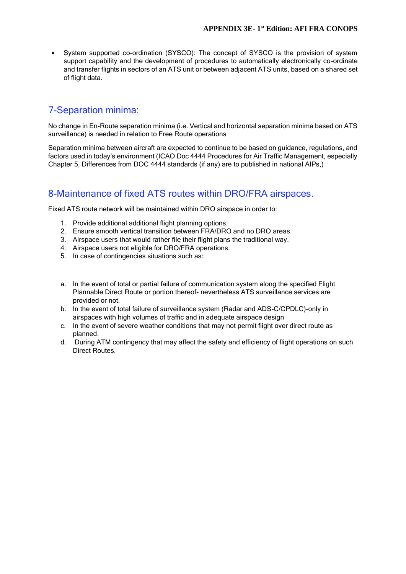System supported co-ordination (SYSCO): The concept of SYSCO is the provision of system support capability and the development of procedures to automatically electronically co-ordinate and transfer flights in sectors of an ATS unit or between adjacent ATS units, based on a shared set of flight data.

### 7-Separation minima:

No change in En-Route separation minima (i.e. Vertical and horizontal separation minima based on ATS surveillance) is needed in relation to Free Route operations

Separation minima between aircraft are expected to continue to be based on guidance, regulations, and factors used in today's environment (ICAO Doc 4444 Procedures for Air Traffic Management, especially Chapter 5, Differences from DOC 4444 standards (if any) are to published in national AIPs,)

# 8-Maintenance of fixed ATS routes within DRO/FRA airspaces.

Fixed ATS route network will be maintained within DRO airspace in order to:

- 1. Provide additional additional flight planning options.
- 2. Ensure smooth vertical transition between FRA/DRO and no DRO areas.
- 3. Airspace users that would rather file their flight plans the traditional way.
- 4. Airspace users not eligible for DRO/FRA operations.
- 5. In case of contingencies situations such as:
- a. In the event of total or partial failure of communication system along the specified Flight Plannable Direct Route or portion thereof- nevertheless ATS surveillance services are provided or not.
- b. In the event of total failure of surveillance system (Radar and ADS-C/CPDLC)-only in airspaces with high volumes of traffic and in adequate airspace design
- c. In the event of severe weather conditions that may not permit flight over direct route as planned.
- d. During ATM contingency that may affect the safety and efficiency of flight operations on such Direct Routes.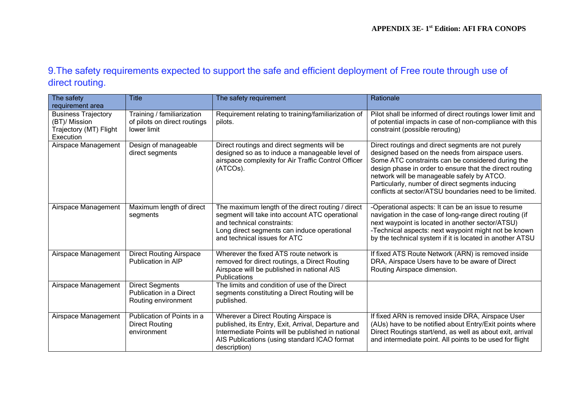## 9.The safety requirements expected to support the safe and efficient deployment of Free route through use of direct routing.

| The safety                                                                         | <b>Title</b>                                                              | The safety requirement                                                                                                                                                                                           | Rationale                                                                                                                                                                                                                                                                                                                                                                           |
|------------------------------------------------------------------------------------|---------------------------------------------------------------------------|------------------------------------------------------------------------------------------------------------------------------------------------------------------------------------------------------------------|-------------------------------------------------------------------------------------------------------------------------------------------------------------------------------------------------------------------------------------------------------------------------------------------------------------------------------------------------------------------------------------|
| requirement area                                                                   |                                                                           |                                                                                                                                                                                                                  |                                                                                                                                                                                                                                                                                                                                                                                     |
| <b>Business Trajectory</b><br>(BT)/ Mission<br>Trajectory (MT) Flight<br>Execution | Training / familiarization<br>of pilots on direct routings<br>lower limit | Requirement relating to training/familiarization of<br>pilots.                                                                                                                                                   | Pilot shall be informed of direct routings lower limit and<br>of potential impacts in case of non-compliance with this<br>constraint (possible rerouting)                                                                                                                                                                                                                           |
| Airspace Management                                                                | Design of manageable<br>direct segments                                   | Direct routings and direct segments will be<br>designed so as to induce a manageable level of<br>airspace complexity for Air Traffic Control Officer<br>(ATCOs).                                                 | Direct routings and direct segments are not purely<br>designed based on the needs from airspace users.<br>Some ATC constraints can be considered during the<br>design phase in order to ensure that the direct routing<br>network will be manageable safely by ATCO.<br>Particularly, number of direct segments inducing<br>conflicts at sector/ATSU boundaries need to be limited. |
| Airspace Management                                                                | Maximum length of direct<br>segments                                      | The maximum length of the direct routing / direct<br>segment will take into account ATC operational<br>and technical constraints:<br>Long direct segments can induce operational<br>and technical issues for ATC | -Operational aspects: It can be an issue to resume<br>navigation in the case of long-range direct routing (if<br>next waypoint is located in another sector/ATSU)<br>-Technical aspects: next waypoint might not be known<br>by the technical system if it is located in another ATSU                                                                                               |
| Airspace Management                                                                | <b>Direct Routing Airspace</b><br>Publication in AIP                      | Wherever the fixed ATS route network is<br>removed for direct routings, a Direct Routing<br>Airspace will be published in national AIS<br>Publications                                                           | If fixed ATS Route Network (ARN) is removed inside<br>DRA, Airspace Users have to be aware of Direct<br>Routing Airspace dimension.                                                                                                                                                                                                                                                 |
| Airspace Management                                                                | <b>Direct Segments</b><br>Publication in a Direct<br>Routing environment  | The limits and condition of use of the Direct<br>segments constituting a Direct Routing will be<br>published.                                                                                                    |                                                                                                                                                                                                                                                                                                                                                                                     |
| Airspace Management                                                                | Publication of Points in a<br><b>Direct Routing</b><br>environment        | Wherever a Direct Routing Airspace is<br>published, its Entry, Exit, Arrival, Departure and<br>Intermediate Points will be published in national<br>AIS Publications (using standard ICAO format<br>description) | If fixed ARN is removed inside DRA, Airspace User<br>(AUs) have to be notified about Entry/Exit points where<br>Direct Routings start/end, as well as about exit, arrival<br>and intermediate point. All points to be used for flight                                                                                                                                               |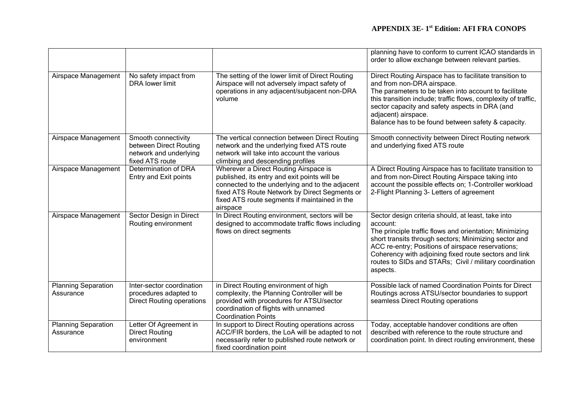|                                         |                                                                                            |                                                                                                                                                                                                                                                        | planning have to conform to current ICAO standards in<br>order to allow exchange between relevant parties.                                                                                                                                                                                                                                                              |
|-----------------------------------------|--------------------------------------------------------------------------------------------|--------------------------------------------------------------------------------------------------------------------------------------------------------------------------------------------------------------------------------------------------------|-------------------------------------------------------------------------------------------------------------------------------------------------------------------------------------------------------------------------------------------------------------------------------------------------------------------------------------------------------------------------|
| Airspace Management                     | No safety impact from<br><b>DRA</b> lower limit                                            | The setting of the lower limit of Direct Routing<br>Airspace will not adversely impact safety of<br>operations in any adjacent/subjacent non-DRA<br>volume                                                                                             | Direct Routing Airspace has to facilitate transition to<br>and from non-DRA airspace.<br>The parameters to be taken into account to facilitate<br>this transition include; traffic flows, complexity of traffic,<br>sector capacity and safety aspects in DRA (and<br>adjacent) airspace.<br>Balance has to be found between safety & capacity.                         |
| Airspace Management                     | Smooth connectivity<br>between Direct Routing<br>network and underlying<br>fixed ATS route | The vertical connection between Direct Routing<br>network and the underlying fixed ATS route<br>network will take into account the various<br>climbing and descending profiles                                                                         | Smooth connectivity between Direct Routing network<br>and underlying fixed ATS route                                                                                                                                                                                                                                                                                    |
| Airspace Management                     | Determination of DRA<br>Entry and Exit points                                              | Wherever a Direct Routing Airspace is<br>published, its entry and exit points will be<br>connected to the underlying and to the adjacent<br>fixed ATS Route Network by Direct Segments or<br>fixed ATS route segments if maintained in the<br>airspace | A Direct Routing Airspace has to facilitate transition to<br>and from non-Direct Routing Airspace taking into<br>account the possible effects on; 1-Controller workload<br>2-Flight Planning 3- Letters of agreement                                                                                                                                                    |
| Airspace Management                     | Sector Design in Direct<br>Routing environment                                             | In Direct Routing environment, sectors will be<br>designed to accommodate traffic flows including<br>flows on direct segments                                                                                                                          | Sector design criteria should, at least, take into<br>account:<br>The principle traffic flows and orientation; Minimizing<br>short transits through sectors; Minimizing sector and<br>ACC re-entry; Positions of airspace reservations;<br>Coherency with adjoining fixed route sectors and link<br>routes to SIDs and STARs; Civil / military coordination<br>aspects. |
| <b>Planning Separation</b><br>Assurance | Inter-sector coordination<br>procedures adapted to<br><b>Direct Routing operations</b>     | in Direct Routing environment of high<br>complexity, the Planning Controller will be<br>provided with procedures for ATSU/sector<br>coordination of flights with unnamed<br><b>Coordination Points</b>                                                 | Possible lack of named Coordination Points for Direct<br>Routings across ATSU/sector boundaries to support<br>seamless Direct Routing operations                                                                                                                                                                                                                        |
| <b>Planning Separation</b><br>Assurance | Letter Of Agreement in<br><b>Direct Routing</b><br>environment                             | In support to Direct Routing operations across<br>ACC/FIR borders, the LoA will be adapted to not<br>necessarily refer to published route network or<br>fixed coordination point                                                                       | Today, acceptable handover conditions are often<br>described with reference to the route structure and<br>coordination point. In direct routing environment, these                                                                                                                                                                                                      |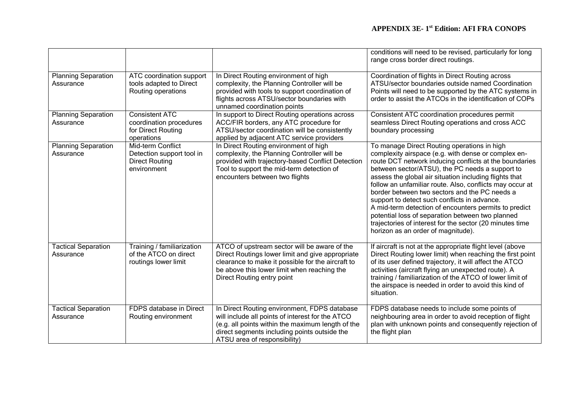|                                         |                                                                                        |                                                                                                                                                                                                                                       | conditions will need to be revised, particularly for long<br>range cross border direct routings.                                                                                                                                                                                                                                                                                                                                                                                                                                                                                                                                                      |
|-----------------------------------------|----------------------------------------------------------------------------------------|---------------------------------------------------------------------------------------------------------------------------------------------------------------------------------------------------------------------------------------|-------------------------------------------------------------------------------------------------------------------------------------------------------------------------------------------------------------------------------------------------------------------------------------------------------------------------------------------------------------------------------------------------------------------------------------------------------------------------------------------------------------------------------------------------------------------------------------------------------------------------------------------------------|
| <b>Planning Separation</b><br>Assurance | ATC coordination support<br>tools adapted to Direct<br>Routing operations              | In Direct Routing environment of high<br>complexity, the Planning Controller will be<br>provided with tools to support coordination of<br>flights across ATSU/sector boundaries with<br>unnamed coordination points                   | Coordination of flights in Direct Routing across<br>ATSU/sector boundaries outside named Coordination<br>Points will need to be supported by the ATC systems in<br>order to assist the ATCOs in the identification of COPs                                                                                                                                                                                                                                                                                                                                                                                                                            |
| <b>Planning Separation</b><br>Assurance | <b>Consistent ATC</b><br>coordination procedures<br>for Direct Routing<br>operations   | In support to Direct Routing operations across<br>ACC/FIR borders, any ATC procedure for<br>ATSU/sector coordination will be consistently<br>applied by adjacent ATC service providers                                                | Consistent ATC coordination procedures permit<br>seamless Direct Routing operations and cross ACC<br>boundary processing                                                                                                                                                                                                                                                                                                                                                                                                                                                                                                                              |
| <b>Planning Separation</b><br>Assurance | Mid-term Conflict<br>Detection support tool in<br><b>Direct Routing</b><br>environment | In Direct Routing environment of high<br>complexity, the Planning Controller will be<br>provided with trajectory-based Conflict Detection<br>Tool to support the mid-term detection of<br>encounters between two flights              | To manage Direct Routing operations in high<br>complexity airspace (e.g. with dense or complex en-<br>route DCT network inducing conflicts at the boundaries<br>between sector/ATSU), the PC needs a support to<br>assess the global air situation including flights that<br>follow an unfamiliar route. Also, conflicts may occur at<br>border between two sectors and the PC needs a<br>support to detect such conflicts in advance.<br>A mid-term detection of encounters permits to predict<br>potential loss of separation between two planned<br>trajectories of interest for the sector (20 minutes time<br>horizon as an order of magnitude). |
| <b>Tactical Separation</b><br>Assurance | Training / familiarization<br>of the ATCO on direct<br>routings lower limit            | ATCO of upstream sector will be aware of the<br>Direct Routings lower limit and give appropriate<br>clearance to make it possible for the aircraft to<br>be above this lower limit when reaching the<br>Direct Routing entry point    | If aircraft is not at the appropriate flight level (above<br>Direct Routing lower limit) when reaching the first point<br>of its user defined trajectory, it will affect the ATCO<br>activities (aircraft flying an unexpected route). A<br>training / familiarization of the ATCO of lower limit of<br>the airspace is needed in order to avoid this kind of<br>situation.                                                                                                                                                                                                                                                                           |
| <b>Tactical Separation</b><br>Assurance | FDPS database in Direct<br>Routing environment                                         | In Direct Routing environment, FDPS database<br>will include all points of interest for the ATCO<br>(e.g. all points within the maximum length of the<br>direct segments including points outside the<br>ATSU area of responsibility) | FDPS database needs to include some points of<br>neighbouring area in order to avoid reception of flight<br>plan with unknown points and consequently rejection of<br>the flight plan                                                                                                                                                                                                                                                                                                                                                                                                                                                                 |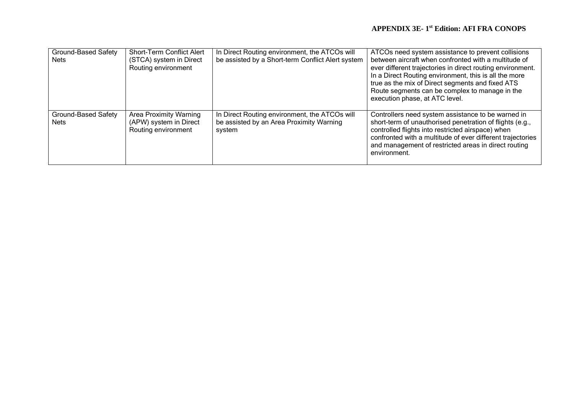| Ground-Based Safety<br><b>Nets</b>        | <b>Short-Term Conflict Alert</b><br>(STCA) system in Direct<br>Routing environment | In Direct Routing environment, the ATCOs will<br>be assisted by a Short-term Conflict Alert system  | ATCOs need system assistance to prevent collisions<br>between aircraft when confronted with a multitude of<br>ever different trajectories in direct routing environment.<br>In a Direct Routing environment, this is all the more<br>true as the mix of Direct segments and fixed ATS<br>Route segments can be complex to manage in the<br>execution phase, at ATC level. |
|-------------------------------------------|------------------------------------------------------------------------------------|-----------------------------------------------------------------------------------------------------|---------------------------------------------------------------------------------------------------------------------------------------------------------------------------------------------------------------------------------------------------------------------------------------------------------------------------------------------------------------------------|
| <b>Ground-Based Safety</b><br><b>Nets</b> | <b>Area Proximity Warning</b><br>(APW) system in Direct<br>Routing environment     | In Direct Routing environment, the ATCOs will<br>be assisted by an Area Proximity Warning<br>system | Controllers need system assistance to be warned in<br>short-term of unauthorised penetration of flights (e.g.,<br>controlled flights into restricted airspace) when<br>confronted with a multitude of ever different trajectories<br>and management of restricted areas in direct routing<br>environment.                                                                 |